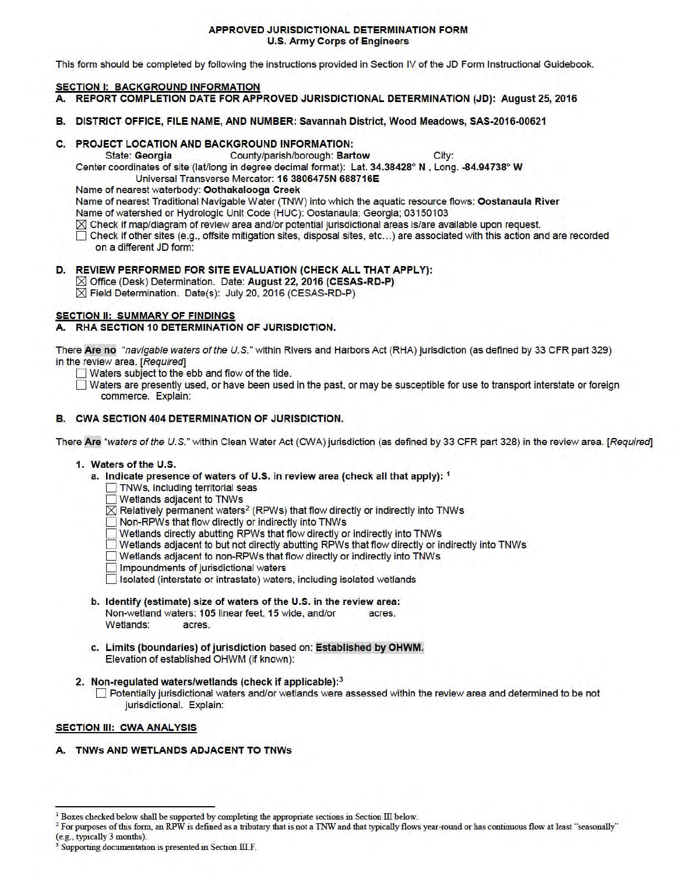#### APPROVED JURISDICTIONAL DETERMINATION FORM U.S. Army Corps of Engineers

This form should be completed by following the instructions provided in Section IV of the JD Form Instructional Guidebook.

## **SECTION I: BACKGROUND INFORMATION**

- A. REPORT COMPLETION DATE FOR APPROVED JURISDICTIONAL DETERMINATION (JD): August 25, 2016
- B. DISTRICT OFFICE, FILE NAME, ANO NUMBER: Savannah District, Wood Meadows, SAS-2016-00621

## C. PROJECT LOCATION ANO BACKGROUND INFORMATION:

State: Georgia County/parish/borough: Bartow City:

Center coordinates of site (lat/long in degree decimal format): Lat. 34.38428° N , Long. -84.94738° W

Universal Transverse Mercator: 16 3806475N 688716E

Name of nearest waterbody: Oothakalooga Creek

Name of nearest Traditional Navigable Water (TNW) into which the aquatic resource flows: Oostanaula River

Name of watershed or Hydrologic Unit Code (HUC): Oostanaula; Georgia; 03150103

- $\boxtimes$  Check if map/diagram of review area and/or potential jurisdictional areas is/are available upon request.
- D Check if other sites (e.g., offsite mitigation sites, disposal sites, etc... ) are associated with this action and are recorded on a different JD form:

# D. REVIEW PERFORMED FOR SITE EVALUATION (CHECK ALL THAT APPLY):

⊠ Office (Desk) Determination. Date: August 22, 2016 (CESAS-RD-P)  $\overline{\boxtimes}$  Field Determination. Date(s): July 20, 2016 (CESAS-RD-P)

## **SECTION II: SUMMARY OF FINDINGS**

## A. RHA SECTION 10 DETERMINATION OF JURISDICTION.

There Are no "navigable waters ofthe U.S." within Rivers and Harbors Act (RHA) jurisdiction (as defined by 33 CFR part 329) in the review area. [Required]

- $\Box$  Waters subject to the ebb and flow of the tide.
- D Waters are presently used, or have been used in the past, or may be susceptible for use to transport interstate or foreign commerce. Explain:

## B. CWA SECTION 404 DETERMINATION OF JURISDICTION.

There Are "waters of the U.S." within Clean Water Act (CWA) jurisdiction (as defined by 33 CFR part 328) in the review area. [Required]

### 1. Waters of the U.S.

- a. Indicate presence of waters of U.S. in review area (check all that apply): 1
	- **TNWs, including territorial seas**
	- **Wetlands adjacent to TNWs**
	- $\overline{\boxtimes}$  Relatively permanent waters<sup>2</sup> (RPWs) that flow directly or indirectly into TNWs
	- D Non-RPWs that flow directly or indirectly into TNWs
	-
	- ◯ Wetlands directly abutting RPWs that flow directly or indirectly into TNWs<br>◯ Wetlands adjacent to but not directly abutting RPWs that flow directly or indirectly into TNWs
	- D Wetlands adjacent to non-RPWs that flow directly or indirectly into TNWs
	- **D** Impoundments of jurisdictional waters
	- D Isolated (interstate or intrastate) waters, including isolated wetlands
- b. Identify (estimate) size of waters of the U.S. in the review area: Non-wetland waters: 105 linear feet, 15 wide, and/or acres. Wetlands: acres.
- c. Limits (boundaries) of jurisdiction based on: Established by OHWM. Elevation of established OHWM (if known):
- 2. Non-regulated waters/wetlands (check if applicable):<sup>3</sup>
	- D Potentially jurisdictional waters and/or wetlands were assessed within the review area and determined to be not jurisdictional. Explain:

## SECTION III: CWA ANALYSIS

A. TNWs AND WETLANDS ADJACENT TO TNWs

 $1$  Boxes checked below shall be supported by completing the appropriate sections in Section III below.

 $2$  For purposes of this form, an RPW is defined as a tributary that is not a TNW and that typically flows year-round or has continuous flow at least "seasonally" (e.g., typically 3 months).

Supporting documentation is presented in Section III.F.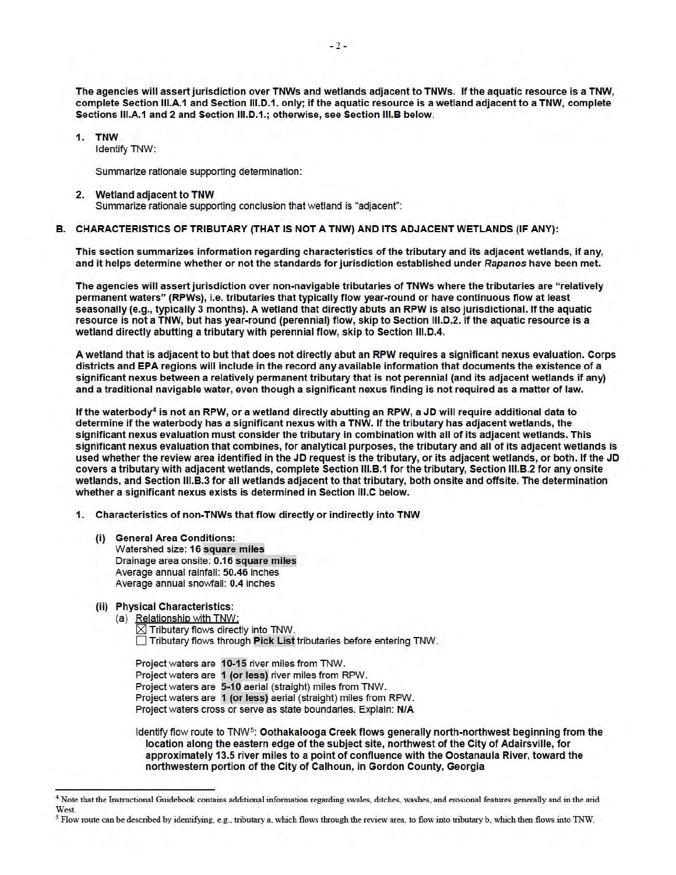The agencies will assert jurisdiction over TNWs and wetlands adjacent to TNWs. If the aquatic resource is a TNW, complete Section 111.A.1 and Section 111.D.1. only; if the aquatic resource is a wetland adjacent to a TNW, complete Sections 111.A.1 and 2 and Section 111.D.1.; otherwise, see Section 111.B below.

**1. TNW** 

Identify TNW:

Summarize rationale supporting determination:

#### 2. Wetland adjacent to TNW

Summarize rationale supporting conclusion that wetland is "adjacent":

### B. CHARACTERISTICS OF TRIBUTARY (THAT IS NOT A TNW) AND ITS ADJACENT WETLANDS (IF ANY):

This section summarizes information regarding characteristics of the tributary and its adjacent wetlands, if any, and it helps determine whether or not the standards for jurisdiction established under Rapanos have been met.

The agencies will assert jurisdiction over non-navigable tributaries of TNWs where the tributaries are "relatively permanent waters" (RPWs), i.e. tributaries that typically flow year-round or have continuous flow at least seasonally (e.g., typically 3 months). A wetland that directly abuts an RPW is also jurisdictional. If the aquatic resource is not a TNW, but has year-round (perennial) flow, skip to Section 111.D.2. If the aquatic resource is a wetland directly abutting a tributary with perennial flow, skip to Section 111.D.4.

A wetland that is adjacent to but that does not directly abut an RPW requires a significant nexus evaluation. Corps districts and EPA regions will include in the record any available information that documents the existence of a significant nexus between a relatively permanent tributary that is not perennial (and its adjacent wetlands if any) and a traditional navigable water, even though a significant nexus finding is not required as a matter of law.

If the waterbody<sup>4</sup> is not an RPW, or a wetland directly abutting an RPW, a JD will require additional data to determine if the waterbody has a significant nexus with a TNW. If the tributary has adjacent wetlands, the significant nexus evaluation must consider the tributary in combination with all of its adjacent wetlands. This significant nexus evaluation that combines, for analytical purposes, the tributary and all of its adjacent wetlands is used whether the review area identified in the JD request is the tributary, or its adjacent wetlands, or both. If the JD covers a tributary with adjacent wetlands, complete Section 111.B.1 for the tributary, Section 111.B.2 for any onsite wetlands, and Section 111.B.3 for all wetlands adjacent to that tributary, both onsite and offsite. The determination whether a significant nexus exists is determined in Section 111.C below.

1. Characteristics of non-TNWs that flow directly or indirectly into TNW

(i) General Area Conditions: Watershed size: 16 square miles Drainage area onsite: 0.16 square miles Average annual rainfall: 50.46 inches Average annual snowfall: 0.4 inches

### (ii) Physical Characteristics:

(a) Relationship with TNW:

 $\boxtimes$  Tributary flows directly into TNW. D Tributary flows through Pick List tributaries before entering TNW.

Project waters are 10-15 river miles from TNW. Project waters are 1 (or less) river miles from RPW. Project waters are 5-10 aerial (straight) miles from TNW. Project waters are 1 (or less) aerial (straight) miles from RPW. Project waters cross or serve as state boundaries. Explain: NIA

Identify flow route to TNW<sup>5</sup>: Oothakalooga Creek flows generally north-northwest beginning from the location along the eastern edge of the subject site, northwest of the City of Adairsville, for approximately 13.5 river miles to a point of confluence with the Oostanaula River, toward the northwestern portion of the City of Calhoun, in Gordon County, Georgia

<sup>4</sup> Note that the Instructional Guidebook contains additional information regarding swales, ditches, washes, and erosional features generally and in the arid West.

*<sup>5</sup>*Flow route can be described by identifying, e.g., tributary a, which flows through the review area, to flow into tributary b, which then flows into 1NW.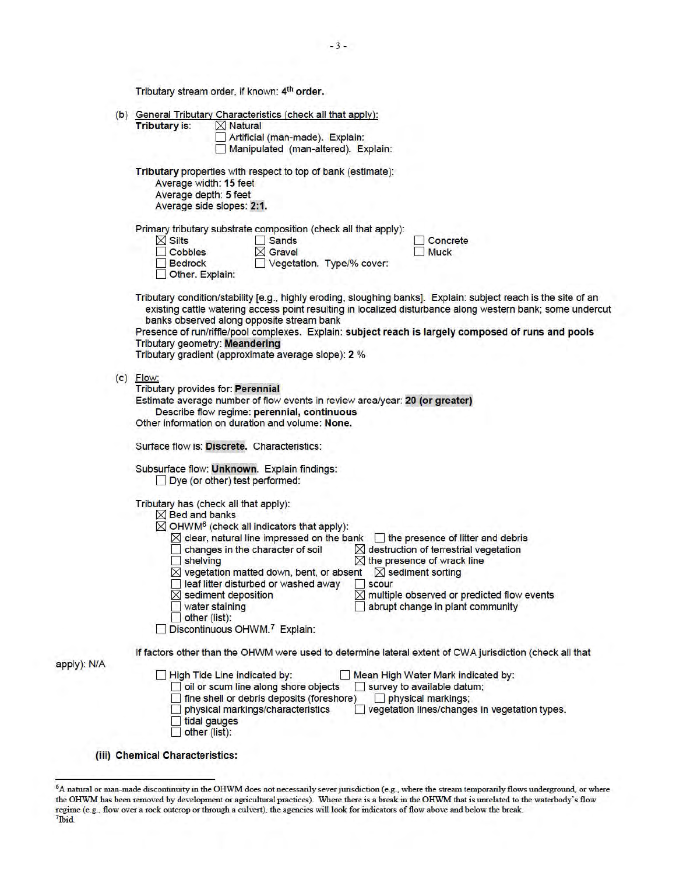Tributary stream order, if known: 4<sup>th</sup> order.

|             | (b) General Tributary Characteristics (check all that apply):<br><b>Tributary is:</b><br>$\times$ Natural                                                                                                                                                                                                                                                                                                                                                                                                                                                                                                                                                                                                                         |
|-------------|-----------------------------------------------------------------------------------------------------------------------------------------------------------------------------------------------------------------------------------------------------------------------------------------------------------------------------------------------------------------------------------------------------------------------------------------------------------------------------------------------------------------------------------------------------------------------------------------------------------------------------------------------------------------------------------------------------------------------------------|
|             | Artificial (man-made). Explain:<br>Manipulated (man-altered). Explain:                                                                                                                                                                                                                                                                                                                                                                                                                                                                                                                                                                                                                                                            |
|             | Tributary properties with respect to top of bank (estimate):<br>Average width: 15 feet<br>Average depth: 5 feet<br>Average side slopes: 2:1.                                                                                                                                                                                                                                                                                                                                                                                                                                                                                                                                                                                      |
|             | Primary tributary substrate composition (check all that apply):<br>$\times$ Silts<br>Sands<br>Concrete<br>$\times$ Gravel<br>Cobbles<br><b>Muck</b><br>Vegetation. Type/% cover:<br><b>Bedrock</b><br>Other. Explain:                                                                                                                                                                                                                                                                                                                                                                                                                                                                                                             |
|             | Tributary condition/stability [e.g., highly eroding, sloughing banks]. Explain: subject reach is the site of an<br>existing cattle watering access point resulting in localized disturbance along western bank; some undercut<br>banks observed along opposite stream bank<br>Presence of run/riffle/pool complexes. Explain: subject reach is largely composed of runs and pools<br><b>Tributary geometry: Meandering</b><br>Tributary gradient (approximate average slope): 2 %                                                                                                                                                                                                                                                 |
|             | $(c)$ Flow:<br><b>Tributary provides for: Perennial</b><br>Estimate average number of flow events in review area/year: 20 (or greater)<br>Describe flow regime: perennial, continuous<br>Other information on duration and volume: None.                                                                                                                                                                                                                                                                                                                                                                                                                                                                                          |
|             | Surface flow is: Discrete. Characteristics:<br>Subsurface flow: Unknown. Explain findings:<br>Dye (or other) test performed:                                                                                                                                                                                                                                                                                                                                                                                                                                                                                                                                                                                                      |
|             | Tributary has (check all that apply):<br>$\boxtimes$ Bed and banks<br>$\boxtimes$ OHWM <sup>6</sup> (check all indicators that apply):<br>$\boxtimes$ clear, natural line impressed on the bank $\Box$ the presence of litter and debris<br>$\times$ destruction of terrestrial vegetation<br>changes in the character of soil<br>$\boxtimes$ the presence of wrack line<br>shelving<br>$\boxtimes$ vegetation matted down, bent, or absent<br>$\boxtimes$ sediment sorting<br>leaf litter disturbed or washed away<br>scour<br>$\boxtimes$ sediment deposition<br>multiple observed or predicted flow events<br>water staining<br>abrupt change in plant community<br>other (list):<br>Discontinuous OHWM. <sup>7</sup> Explain: |
| apply): N/A | If factors other than the OHWM were used to determine lateral extent of CWA jurisdiction (check all that<br>High Tide Line indicated by:<br>Mean High Water Mark indicated by:<br>oil or scum line along shore objects<br>survey to available datum;<br>fine shell or debris deposits (foreshore)<br>physical markings;<br>physical markings/characteristics<br>vegetation lines/changes in vegetation types.<br>tidal gauges                                                                                                                                                                                                                                                                                                     |

(iii) Chemical Characteristics:

 $\Box$  other (list):

<sup>&</sup>lt;sup>6</sup>A natural or man-made discontinuity in the OHWM does not necessarily sever jurisdiction (e.g., where the stream temporarily flows underground, or where the OHWM has been removed by development or agricultural practices). Where there is a break in the OHWM that is unrelated to the waterbody's flow regime (e.g., flow over a rock outcrop or through a culvert), the agencies will look for indicators of flow above and below the break. 7 lbid.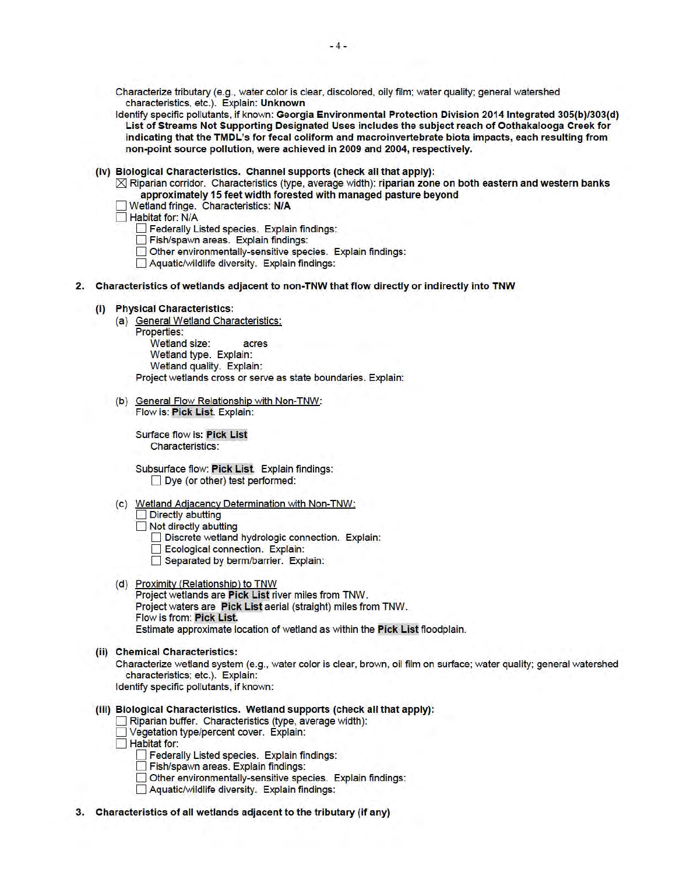Characterize tributary (e.g., water color is clear, discolored, oily film; water quality; general watershed characteristics, etc.). Explain: Unknown

Identify specific pollutants, if known: Georgia Environmental Protection Division 2014 Integrated 305(b)/303(d) List of Streams Not Supporting Designated Uses includes the subject reach of Oothakalooga Creek for indicating that the TMDL's for fecal coliform and macroinvertebrate biota impacts, each resulting from non-point source pollution, were achieved in 2009 and 2004, respectively.

(iv) Biological Characteristics. Channel supports (check all that apply):

 $\boxtimes$  Riparian corridor. Characteristics (type, average width): riparian zone on both eastern and western banks approximately 15 feet width forested with managed pasture beyond

- D Wetland fringe. Characteristics: N/A
- Habitat for: N/A

D Federally Listed species. Explain findings:

Fish/spawn areas. Explain findings:

Other environmentally-sensitive species. Explain findings:

D Aquatic/wildlife diversity. Explain findings:

- 2. Characteristics of wetlands adjacent to non-TNW that flow directly or indirectly into TNW
	- (i) Physical Characteristics:
		- (a) General Wetland Characteristics:
			- Properties:

Wetland size: acres Wetland type. Explain: Wetland quality. Explain: Project wetlands cross or serve as state boundaries. Explain:

(b) General Flow Relationship with Non-TNW: Flow is: Pick List. Explain:

Surface flow is: Pick List Characteristics:

Subsurface flow: Pick List. Explain findings:  $\Box$  Dye (or other) test performed:

- (c) Wetland Adjacency Determination with Non-TNW:
	- $\Box$  Directly abutting

Not directly abutting

Discrete wetland hydrologic connection. Explain:

- Ecological connection. Explain:
- Separated by berm/barrier. Explain:
- (d) Proximity (Relationship) to TNW Project wetlands are Pick List river miles from TNW. Project waters are Pick List aerial (straight) miles from TNW. Flow is from: Pick List.

Estimate approximate location of wetland as within the Pick List floodplain.

(ii) Chemical Characteristics:

Characterize wetland system (e.g., water color is clear, brown, oil film on surface; water quality; general watershed characteristics; etc.). Explain:

Identify specific pollutants, if known:

- (iii) Biological Characteristics. Wetland supports (check all that apply):
	- $\Box$  Riparian buffer. Characteristics (type, average width):
	- D Vegetation type/percent cover. Explain:

**Habitat for:** 

- **Federally Listed species. Explain findings:**
- D Fish/spawn areas. Explain findings:
- Other environmentally-sensitive species. Explain findings:
- D Aquatic/wildlife diversity. Explain findings:
- 3. Characteristics of all wetlands adjacent to the tributary (if any)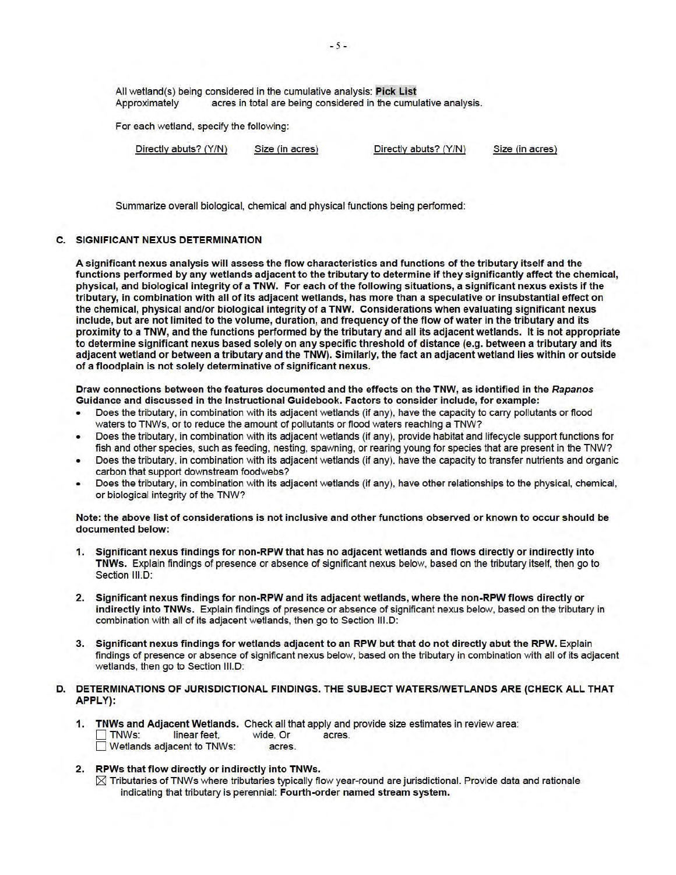All wetland(s) being considered in the cumulative analysis: Pick List Approximately acres in total are being considered in the cumulative analysis.

For each wetland, specify the following:

Directly abuts? (Y/N) Size (in acres) Directly abuts? (Y/N) Size (in acres)

Summarize overall biological, chemical and physical functions being performed:

#### **C. SIGNIFICANT NEXUS DETERMINATION**

A significant nexus analysis will assess the flow characteristics and functions of the tributary itself and the functions performed by any wetlands adjacent to the tributary to determine if they significantly affect the chemical, physical, and biological integrity of a TNW. For each of the following situations, a significant nexus exists if the tributary, in combination with all of its adjacent wetlands, has more than a speculative or insubstantial effect on the chemical, physical and/or biological integrity of a TNW. Considerations when evaluating significant nexus include, but are not limited to the volume, duration, and frequency of the flow of water in the tributary and its proximity to a TNW, and the functions performed by the tributary and all its adjacent wetlands. It is not appropriate to determine significant nexus based solely on any specific threshold of distance (e.g. between a tributary and its adjacent wetland or between a tributary and the TNW). Similarly, the fact an adjacent wetland lies within or outside of a floodplain is not solely determinative of significant nexus.

Draw connections between the features documented and the effects on the TNW, as identified in the Rapanos Guidance and discussed in the Instructional Guidebook. Factors to consider include, for example:

- Does the tributary, in combination with its adjacent wetlands (if any), have the capacity to carry pollutants or flood waters to TNWs, or to reduce the amount of pollutants or flood waters reaching a TNW?
- Does the tributary, in combination with its adjacent wetlands (if any), provide habitat and lifecycle support functions for fish and other species, such as feeding, nesting, spawning, or rearing young for species that are present in the TNW?
- Does the tributary, in combination with its adjacent wetlands (if any), have the capacity to transfer nutrients and organic carbon that support downstream foodwebs?
- Does the tributary, in combination with its adjacent wetlands (if any), have other relationships to the physical, chemical, or biological integrity of the TNW?

Note: the above list of considerations is not inclusive and other functions observed or known to occur should be documented below:

- 1. Significant nexus findings for non-RPW that has no adjacent wetlands and flows directly or indirectly into TNWs. Explain findings of presence or absence of significant nexus below, based on the tributary itself, then go to Section III.D:
- 2. Significant nexus findings for non-RPW and its adjacent wetlands, where the non-RPW flows directly or indirectly into TNWs. Explain findings of presence or absence of significant nexus below, based on the tributary in combination with all of its adjacent wetlands, then go to Section 111.D:
- 3. Significant nexus findings for wetlands adjacent to an RPW but that do not directly abut the RPW. Explain findings of presence or absence of significant nexus below, based on the tributary in combination with all of its adjacent wetlands, then go to Section III.D:

## D. DETERMINATIONS OF JURISDICTIONAL FINDINGS. THE SUBJECT WATERS/WETLANDS ARE (CHECK ALL THAT APPLY):

- 1. TNWs and Adjacent Wetlands. Check all that apply and provide size estimates in review area: TNWs: linear feet, wide, Or acres.<br>Wetlands adiacent to TNWs: acres.  $\Box$  Wetlands adjacent to TNWs:
- 2. RPWs that flow directly or indirectly into TNWs.
	- $\boxtimes$  Tributaries of TNWs where tributaries typically flow year-round are jurisdictional. Provide data and rationale indicating that tributary is perennial: Fourth-order named stream system.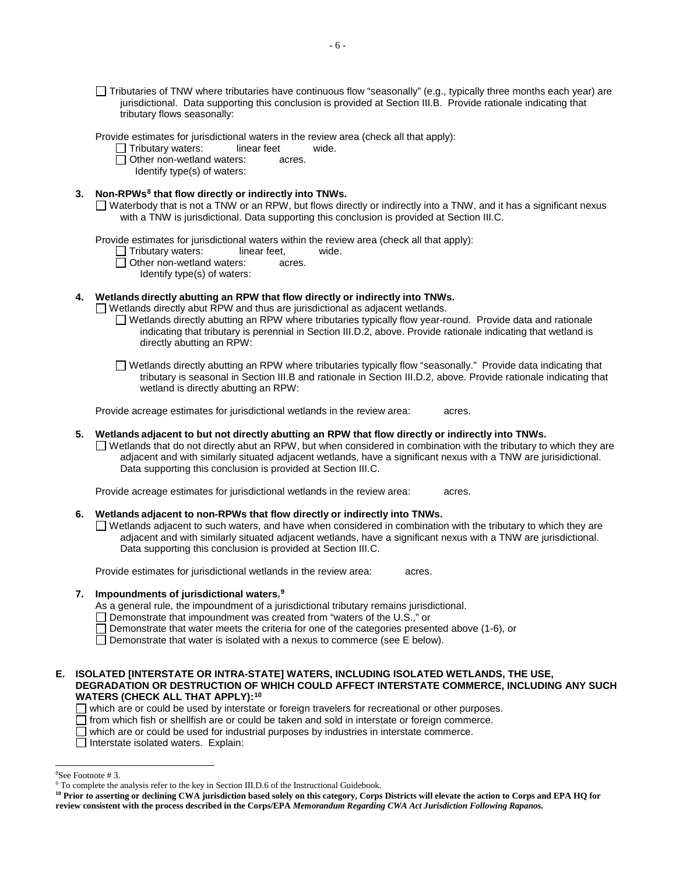Tributaries of TNW where tributaries have continuous flow "seasonally" (e.g., typically three months each year) are jurisdictional. Data supporting this conclusion is provided at Section III.B. Provide rationale indicating that tributary flows seasonally:

Provide estimates for jurisdictional waters in the review area (check all that apply):

 Tributary waters: linear feet wide.

Other non-wetland waters: acres.

Identify type(s) of waters:

3. Non-RPWs<sup>8</sup> that flow directly or indirectly into TNWs.

Waterbody that is not a TNW or an RPW, but flows directly or indirectly into a TNW, and it has a significant nexus with a TNW is jurisdictional. Data supporting this conclusion is provided at Section III.C.

Provide estimates for jurisdictional waters within the review area (check all that apply):<br>  $\Box$  Tributary waters: linear feet. wide.

Tributary waters: linear feet, wide.

Other non-wetland waters: acres.

Identify type(s) of waters:

## **4. Wetlands directly abutting an RPW that flow directly or indirectly into TNWs.**

 $\Box$  Wetlands directly abut RPW and thus are jurisdictional as adjacent wetlands.

- $\Box$  Wetlands directly abutting an RPW where tributaries typically flow year-round. Provide data and rationale indicating that tributary is perennial in Section III.D.2, above. Provide rationale indicating that wetland is directly abutting an RPW:
- Wetlands directly abutting an RPW where tributaries typically flow "seasonally." Provide data indicating that tributary is seasonal in Section III.B and rationale in Section III.D.2, above. Provide rationale indicating that wetland is directly abutting an RPW:

 Provide acreage estimates for jurisdictional wetlands in the review area: acres.

## **5. Wetlands adjacent to but not directly abutting an RPW that flow directly or indirectly into TNWs.**

 $\Box$  Wetlands that do not directly abut an RPW, but when considered in combination with the tributary to which they are adjacent and with similarly situated adjacent wetlands, have a significant nexus with a TNW are jurisidictional. Data supporting this conclusion is provided at Section III.C.

 Provide acreage estimates for jurisdictional wetlands in the review area: acres.

### **6. Wetlands adjacent to non-RPWs that flow directly or indirectly into TNWs.**

Wetlands adjacent to such waters, and have when considered in combination with the tributary to which they are adjacent and with similarly situated adjacent wetlands, have a significant nexus with a TNW are jurisdictional. Data supporting this conclusion is provided at Section III.C.

Provide estimates for jurisdictional wetlands in the review area: acres.

## **7. Impoundments of jurisdictional waters. 9**

As a general rule, the impoundment of a jurisdictional tributary remains jurisdictional.

□ Demonstrate that impoundment was created from "waters of the U.S.," or

- $\Box$  Demonstrate that water meets the criteria for one of the categories presented above (1-6), or
- $\Box$  Demonstrate that water is isolated with a nexus to commerce (see E below).

### **E. ISOLATED [INTERSTATE OR INTRA-STATE] WATERS, INCLUDING ISOLATED WETLANDS, THE USE, DEGRADATION OR DESTRUCTION OF WHICH COULD AFFECT INTERSTATE COMMERCE, INCLUDING ANY SUCH WATERS (CHECK ALL THAT APPLY):10**

 $\Box$  which are or could be used by interstate or foreign travelers for recreational or other purposes.

 $\Box$  from which fish or shellfish are or could be taken and sold in interstate or foreign commerce.

 $\Box$  which are or could be used for industrial purposes by industries in interstate commerce.

 $\Box$  Interstate isolated waters. Explain:

j <sup>8</sup>See Footnote #3.

 ${}^8$ See Footnote # 3.<br>9 To complete the analysis refer to the key in Section III.D.6 of the Instructional Guidebook.

<sup>&</sup>lt;sup>10</sup> Prior to asserting or declining CWA jurisdiction based solely on this category, Corps Districts will elevate the action to Corps and EPA HQ for  **review consistent with the process described in the Corps/EPA** *Memorandum Regarding CWA Act Jurisdiction Following Rapanos.*